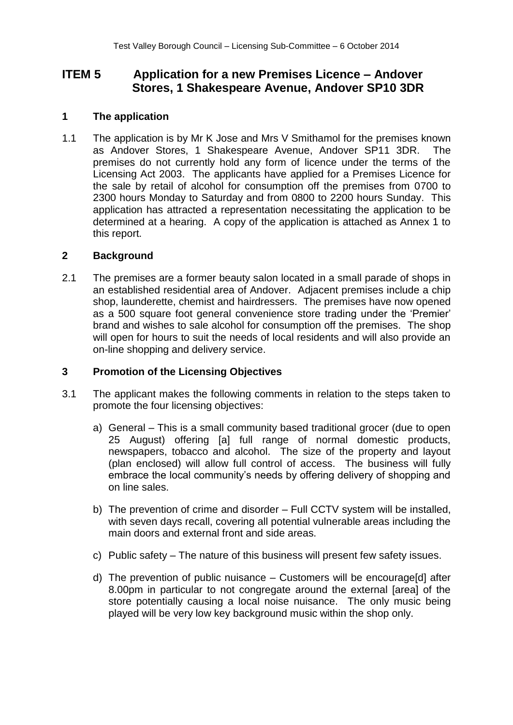# **ITEM 5 Application for a new Premises Licence – Andover Stores, 1 Shakespeare Avenue, Andover SP10 3DR**

## **1 The application**

1.1 The application is by Mr K Jose and Mrs V Smithamol for the premises known as Andover Stores, 1 Shakespeare Avenue, Andover SP11 3DR. The premises do not currently hold any form of licence under the terms of the Licensing Act 2003. The applicants have applied for a Premises Licence for the sale by retail of alcohol for consumption off the premises from 0700 to 2300 hours Monday to Saturday and from 0800 to 2200 hours Sunday. This application has attracted a representation necessitating the application to be determined at a hearing. A copy of the application is attached as Annex 1 to this report.

## **2 Background**

2.1 The premises are a former beauty salon located in a small parade of shops in an established residential area of Andover. Adjacent premises include a chip shop, launderette, chemist and hairdressers. The premises have now opened as a 500 square foot general convenience store trading under the 'Premier' brand and wishes to sale alcohol for consumption off the premises. The shop will open for hours to suit the needs of local residents and will also provide an on-line shopping and delivery service.

## **3 Promotion of the Licensing Objectives**

- 3.1 The applicant makes the following comments in relation to the steps taken to promote the four licensing objectives:
	- a) General This is a small community based traditional grocer (due to open 25 August) offering [a] full range of normal domestic products, newspapers, tobacco and alcohol. The size of the property and layout (plan enclosed) will allow full control of access. The business will fully embrace the local community's needs by offering delivery of shopping and on line sales.
	- b) The prevention of crime and disorder Full CCTV system will be installed, with seven days recall, covering all potential vulnerable areas including the main doors and external front and side areas.
	- c) Public safety The nature of this business will present few safety issues.
	- d) The prevention of public nuisance Customers will be encourage[d] after 8.00pm in particular to not congregate around the external [area] of the store potentially causing a local noise nuisance. The only music being played will be very low key background music within the shop only.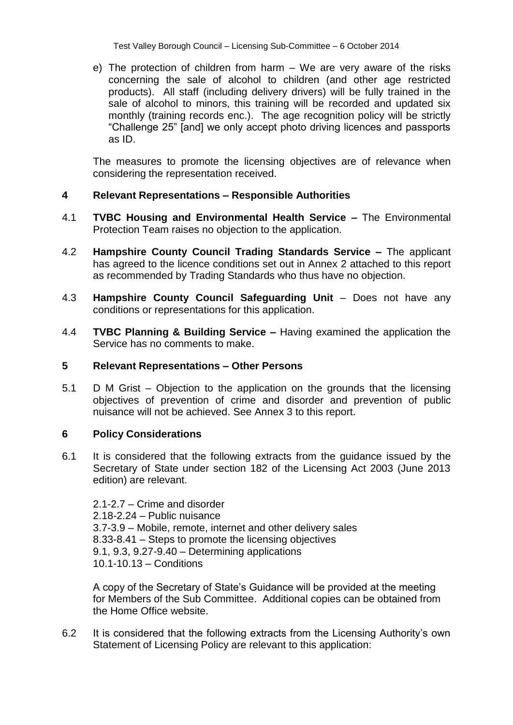Test Valley Borough Council – Licensing Sub-Committee – 6 October 2014

e) The protection of children from harm – We are very aware of the risks concerning the sale of alcohol to children (and other age restricted products). All staff (including delivery drivers) will be fully trained in the sale of alcohol to minors, this training will be recorded and updated six monthly (training records enc.). The age recognition policy will be strictly "Challenge 25" [and] we only accept photo driving licences and passports as ID.

The measures to promote the licensing objectives are of relevance when considering the representation received.

## **4 Relevant Representations – Responsible Authorities**

- 4.1 **TVBC Housing and Environmental Health Service –** The Environmental Protection Team raises no objection to the application.
- 4.2 **Hampshire County Council Trading Standards Service –** The applicant has agreed to the licence conditions set out in Annex 2 attached to this report as recommended by Trading Standards who thus have no objection.
- 4.3 **Hampshire County Council Safeguarding Unit**  Does not have any conditions or representations for this application.
- 4.4 **TVBC Planning & Building Service –** Having examined the application the Service has no comments to make.

## **5 Relevant Representations – Other Persons**

5.1 D M Grist – Objection to the application on the grounds that the licensing objectives of prevention of crime and disorder and prevention of public nuisance will not be achieved. See Annex 3 to this report.

## **6 Policy Considerations**

6.1 It is considered that the following extracts from the guidance issued by the Secretary of State under section 182 of the Licensing Act 2003 (June 2013 edition) are relevant.

2.1-2.7 – Crime and disorder 2.18-2.24 – Public nuisance 3.7-3.9 – Mobile, remote, internet and other delivery sales 8.33-8.41 – Steps to promote the licensing objectives 9.1, 9.3, 9.27-9.40 – Determining applications 10.1-10.13 – Conditions

A copy of the Secretary of State's Guidance will be provided at the meeting for Members of the Sub Committee. Additional copies can be obtained from the Home Office website.

6.2 It is considered that the following extracts from the Licensing Authority's own Statement of Licensing Policy are relevant to this application: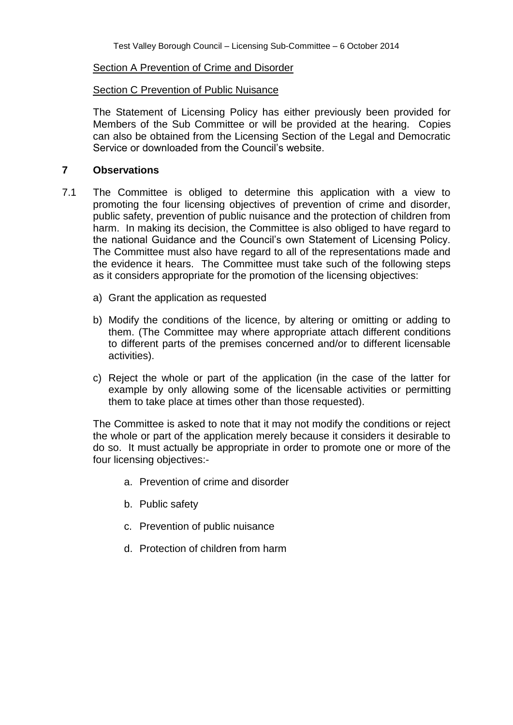#### Section A Prevention of Crime and Disorder

#### Section C Prevention of Public Nuisance

The Statement of Licensing Policy has either previously been provided for Members of the Sub Committee or will be provided at the hearing. Copies can also be obtained from the Licensing Section of the Legal and Democratic Service or downloaded from the Council's website.

#### **7 Observations**

- 7.1 The Committee is obliged to determine this application with a view to promoting the four licensing objectives of prevention of crime and disorder, public safety, prevention of public nuisance and the protection of children from harm. In making its decision, the Committee is also obliged to have regard to the national Guidance and the Council's own Statement of Licensing Policy. The Committee must also have regard to all of the representations made and the evidence it hears. The Committee must take such of the following steps as it considers appropriate for the promotion of the licensing objectives:
	- a) Grant the application as requested
	- b) Modify the conditions of the licence, by altering or omitting or adding to them. (The Committee may where appropriate attach different conditions to different parts of the premises concerned and/or to different licensable activities).
	- c) Reject the whole or part of the application (in the case of the latter for example by only allowing some of the licensable activities or permitting them to take place at times other than those requested).

The Committee is asked to note that it may not modify the conditions or reject the whole or part of the application merely because it considers it desirable to do so. It must actually be appropriate in order to promote one or more of the four licensing objectives:-

- a. Prevention of crime and disorder
- b. Public safety
- c. Prevention of public nuisance
- d. Protection of children from harm